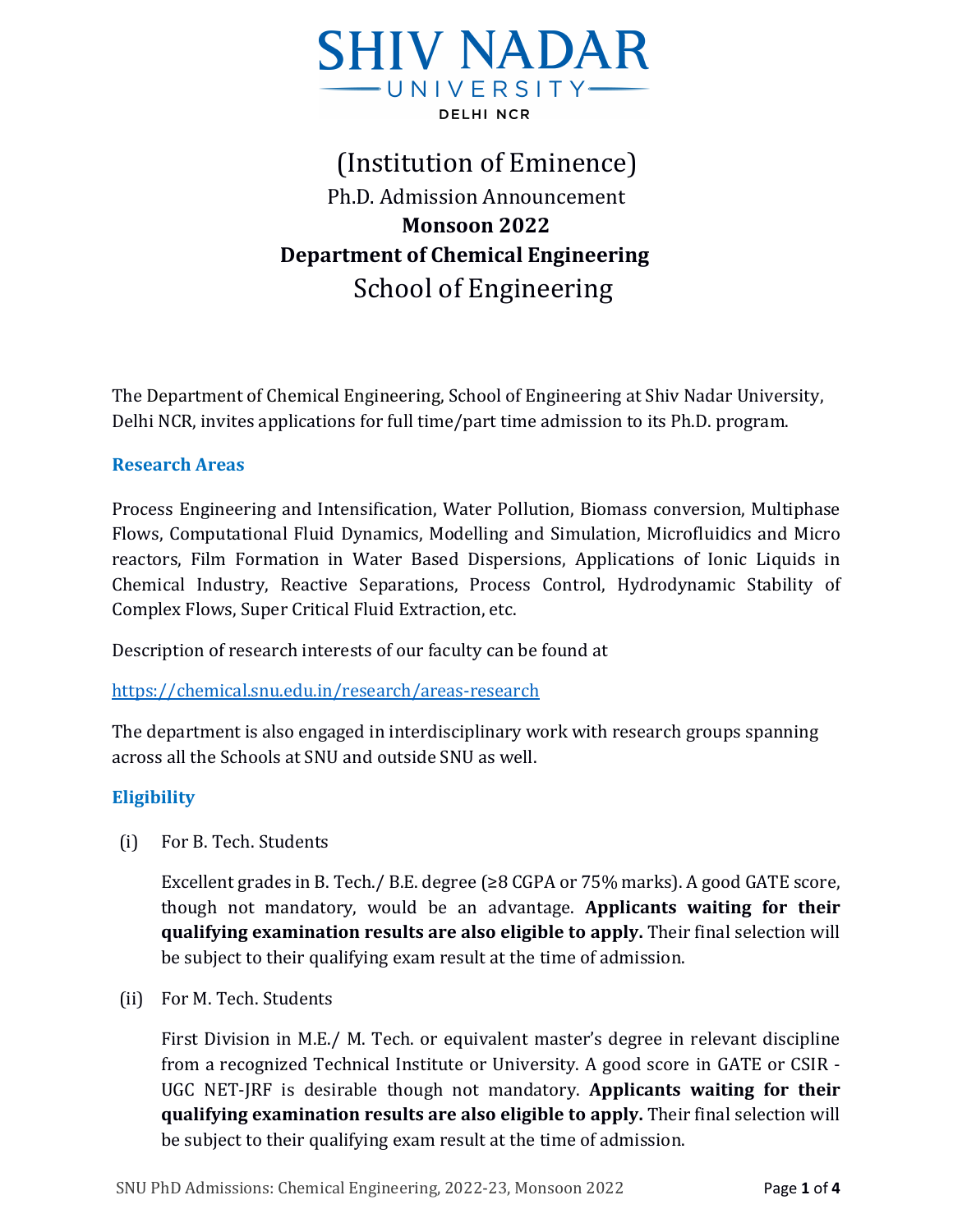

# (Institution of Eminence) Ph.D. Admission Announcement **Monsoon 2022 Department of Chemical Engineering** School of Engineering

The Department of Chemical Engineering, School of Engineering at Shiv Nadar University, Delhi NCR, invites applications for full time/part time admission to its Ph.D. program.

### **Research Areas**

Process Engineering and Intensification, Water Pollution, Biomass conversion, Multiphase Flows, Computational Fluid Dynamics, Modelling and Simulation, Microfluidics and Micro reactors, Film Formation in Water Based Dispersions, Applications of Ionic Liquids in Chemical Industry, Reactive Separations, Process Control, Hydrodynamic Stability of Complex Flows, Super Critical Fluid Extraction, etc.

Description of research interests of our faculty can be found at

<https://chemical.snu.edu.in/research/areas-research>

The department is also engaged in interdisciplinary work with research groups spanning across all the Schools at SNU and outside SNU as well.

### **Eligibility**

(i) For B. Tech. Students

Excellent grades in B. Tech./ B.E. degree (≥8 CGPA or 75% marks). A good GATE score, though not mandatory, would be an advantage. **Applicants waiting for their qualifying examination results are also eligible to apply.** Their final selection will be subject to their qualifying exam result at the time of admission.

(ii) For M. Tech. Students

First Division in M.E./ M. Tech. or equivalent master's degree in relevant discipline from a recognized Technical Institute or University. A good score in GATE or CSIR - UGC NET-JRF is desirable though not mandatory. **Applicants waiting for their qualifying examination results are also eligible to apply.** Their final selection will be subject to their qualifying exam result at the time of admission.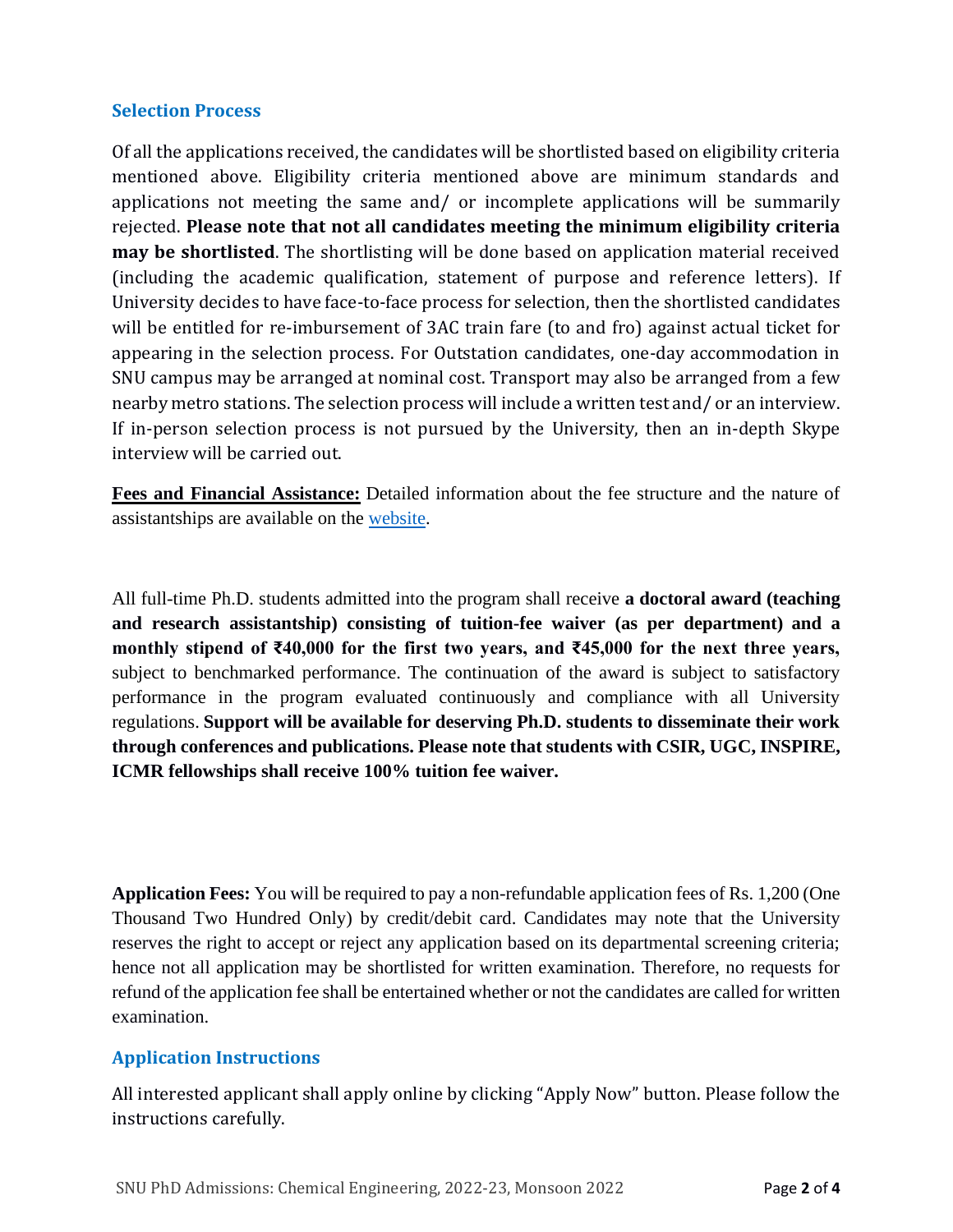#### **Selection Process**

Of all the applications received, the candidates will be shortlisted based on eligibility criteria mentioned above. Eligibility criteria mentioned above are minimum standards and applications not meeting the same and/ or incomplete applications will be summarily rejected. **Please note that not all candidates meeting the minimum eligibility criteria may be shortlisted**. The shortlisting will be done based on application material received (including the academic qualification, statement of purpose and reference letters). If University decides to have face-to-face process for selection, then the shortlisted candidates will be entitled for re-imbursement of 3AC train fare (to and fro) against actual ticket for appearing in the selection process. For Outstation candidates, one-day accommodation in SNU campus may be arranged at nominal cost. Transport may also be arranged from a few nearby metro stations. The selection process will include a written test and/ or an interview. If in-person selection process is not pursued by the University, then an in-depth Skype interview will be carried out.

**Fees and Financial Assistance:** Detailed information about the fee structure and the nature of assistantships are available on the [website.](https://snu.edu.in/sites/default/files/Phd_Fee_Structure_2022.pdf)

All full-time Ph.D. students admitted into the program shall receive **a doctoral award (teaching and research assistantship) consisting of tuition-fee waiver (as per department) and a monthly stipend of ₹40,000 for the first two years, and ₹45,000 for the next three years,** subject to benchmarked performance. The continuation of the award is subject to satisfactory performance in the program evaluated continuously and compliance with all University regulations. **Support will be available for deserving Ph.D. students to disseminate their work through conferences and publications. Please note that students with CSIR, UGC, INSPIRE, ICMR fellowships shall receive 100% tuition fee waiver.**

**Application Fees:** You will be required to pay a non-refundable application fees of Rs. 1,200 (One Thousand Two Hundred Only) by credit/debit card. Candidates may note that the University reserves the right to accept or reject any application based on its departmental screening criteria; hence not all application may be shortlisted for written examination. Therefore, no requests for refund of the application fee shall be entertained whether or not the candidates are called for written examination.

### **Application Instructions**

All interested applicant shall apply online by clicking "Apply Now" button. Please follow the instructions carefully.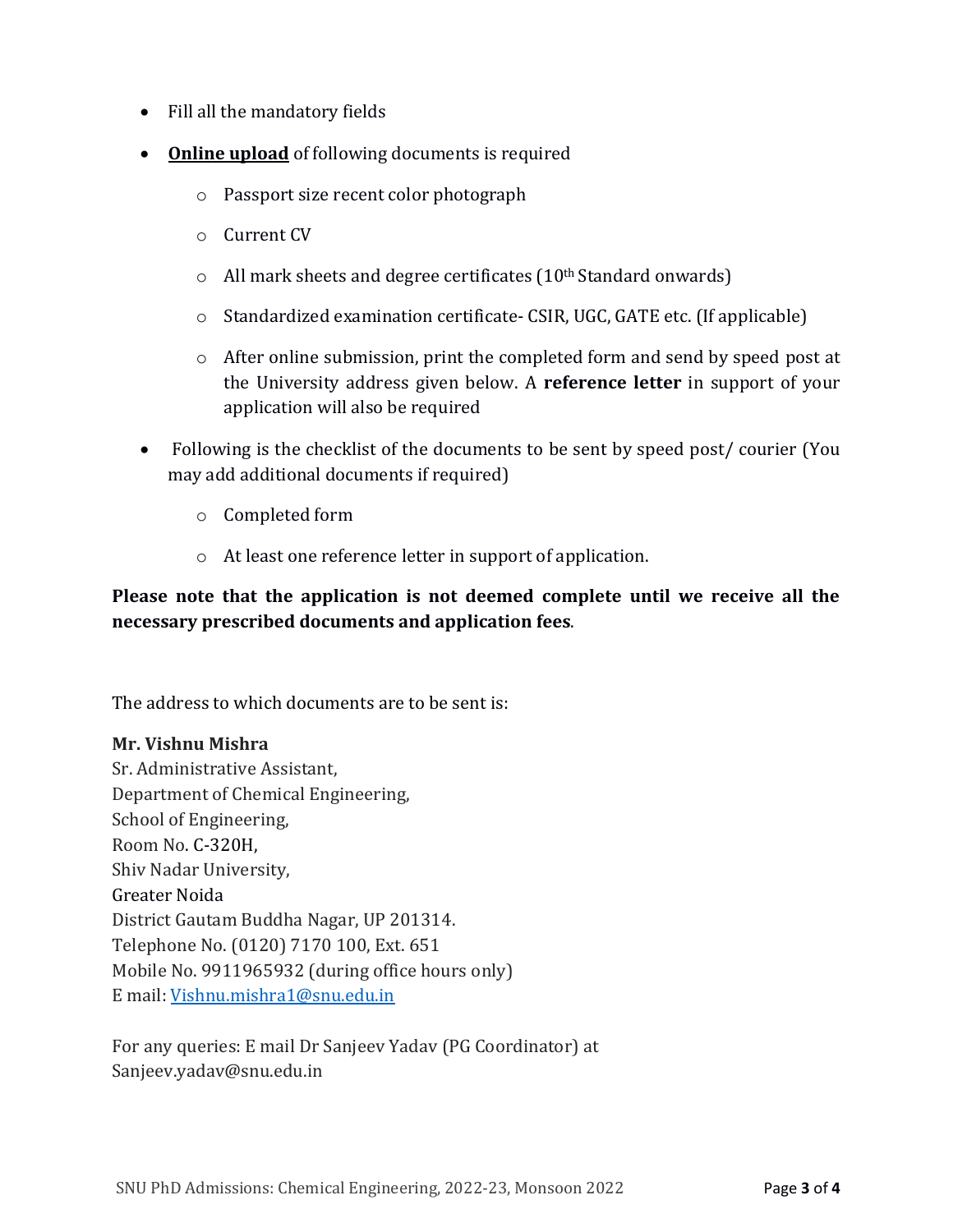- Fill all the mandatory fields
- **Online upload** of following documents is required
	- o Passport size recent color photograph
	- o Current CV
	- $\circ$  All mark sheets and degree certificates (10<sup>th</sup> Standard onwards)
	- o Standardized examination certificate- CSIR, UGC, GATE etc. (If applicable)
	- o After online submission, print the completed form and send by speed post at the University address given below. A **reference letter** in support of your application will also be required
- Following is the checklist of the documents to be sent by speed post/ courier (You may add additional documents if required)
	- o Completed form
	- o At least one reference letter in support of application.

## **Please note that the application is not deemed complete until we receive all the necessary prescribed documents and application fees**.

The address to which documents are to be sent is:

#### **Mr. Vishnu Mishra**

Sr. Administrative Assistant, Department of Chemical Engineering, School of Engineering, Room No. C-320H, Shiv Nadar University, Greater Noida District Gautam Buddha Nagar, UP 201314. Telephone No. (0120) 7170 100, Ext. 651 Mobile No. 9911965932 (during office hours only) E mail: [Vishnu.mishra1@snu.edu.in](mailto:Vishnu.mishra1@snu.edu.in)

For any queries: E mail Dr Sanjeev Yadav (PG Coordinator) at Sanjeev.yadav@snu.edu.in